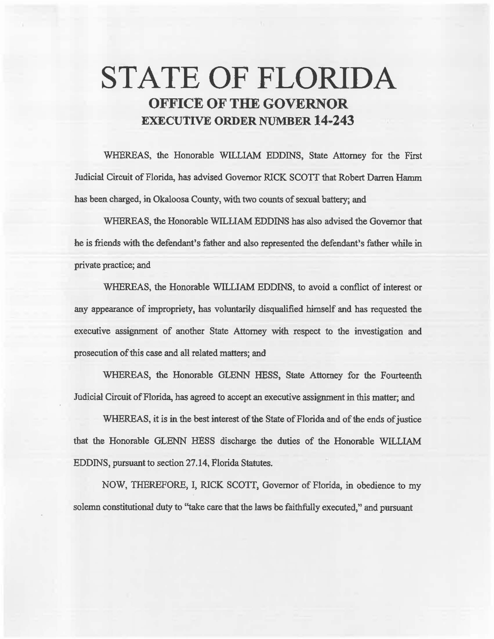# **STATE OF FLORIDA OFFICE OF THE GOVERNOR EXECUTIVE ORDER NUMBER 14·243**

WHEREAS, the Honorable WILLIAM EDDINS, State Attorney for the First Judicial Circuit of Florida, has advised Governor RICK SCOIT that Robert Darren Hamm has been charged, in Okaloosa County, with two counts of sexual battery; and

WHEREAS, the Honorable WILLIAM EDDINS has also advised the Governor that he is friends with the defendant's father and also represented the defendant's father while in private practice; and

WHEREAS, the Honorable WILLIAM EDDINS, to avoid a conflict of interest or aay appearance of impropriety, bas voluntarily disqualified himself and has requested the executive assignment of another State Attorney with respect to the investigation and prosecution of this case and all related matters; and

WHEREAS, the Honorable GLENN HESS, State Attorney for the Fourteenth Judicial Circuit of Florida, has agreed to accept an executive assignment in this matter; and

WHEREAS, it is in the best interest of the State of Florida and of the ends of justice that the Honorable GLENN HESS discharge the duties of the Honorable WILLIAM EDDINS, pursuant to section 27.14, Florida Statutes.

NOW, THEREFORE, I, RICK SCOTI, Governor of Florida, in obedience to my solemn constitutional duty to "take care that the laws be faithfully executed," and pursuant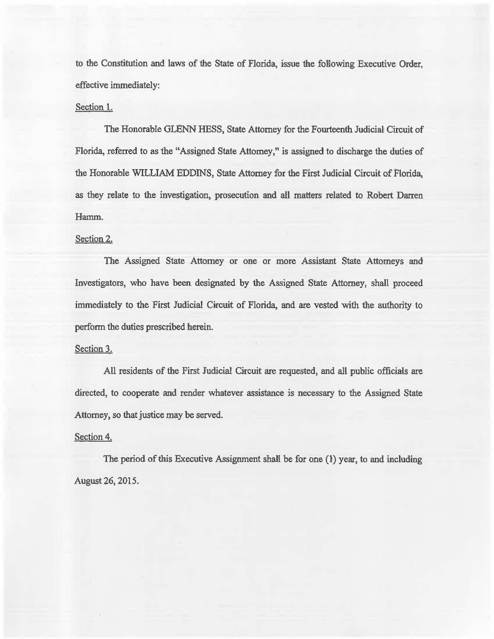to the Constitution and laws of the State of Florida, issue the following Executive Order, effective immediately:

## Section 1.

The Honorable GLENN HESS, State Attorney for the Fourteenth Judicial Circuit of Florida, referred to as the "Assigned State Attorney," is assigned to discharge the duties of the Honorable WILLIAM EDDINS, State Attorney for the First Judicial Circuit of Florida, as they relate to the investigation, prosecution and all matters related to Robert Darren Hamm.

### Section 2.

The Assigned State Attorney or one or more Assistant State Attorneys and Investigators, who have been designated by the Assigned State Attorney, shall proceed immediately to the First Judicial Circuit of Florida, and are vested with the authority to perform the duties prescribed herein.

#### Section 3.

All residents of the First Judicial Circuit are requested, and all public officials are directed, to cooperate and render whatever assistance is necessary to the Assigned State Attorney, so that justice may be served.

#### Section 4.

The period of this Executive Assignment shall be for one (1) year, to and including August 26, 2015.